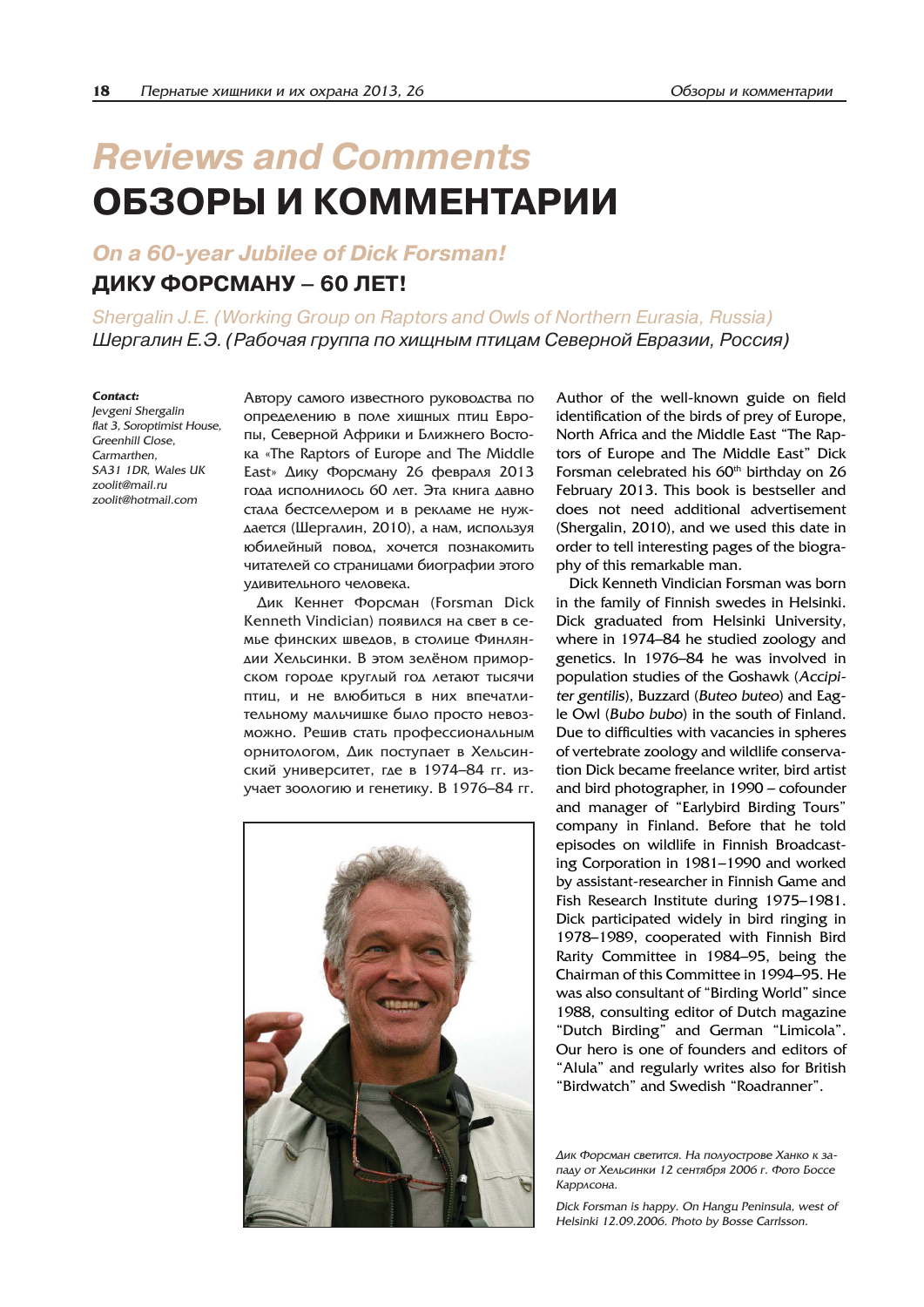# *Reviews and Comments* **ОБЗОРЫ И КОММЕНТАРИИ**

## *On a 60-year Jubilee of Dick Forsman!*

# **ДИКУ ФОРСМАНУ – 60 ЛЕТ!**

Shergalin J.E. (Working Group on Raptors and Owls of Northern Eurasia, Russia) *Шергалин Е.Э. (Рабочая группа по хищным птицам Северной Евразии, Россия)*

#### *Contact:*

*Jevgeni Shergalin flat 3, Soroptimist House, Greenhill Close, Carmarthen, SA31 1DR, Wales UK zoolit@mail.ru zoolit@hotmail.com*

Автору самого известного руководства по определению в поле хищных птиц Европы, Северной Африки и Ближнего Востоêà «The Raptors of Europe and The Middle East» Дику Форсману 26 февраля 2013 года исполнилось 60 лет. Эта книга давно стала бестселлером и в рекламе не нужаается (Шергалин, 2010), а нам, используя юбилейный повод, хочется познакомить читателей со страницами биографии этого удивительного человека.

Дик Кеннет Форсман (Forsman Dick Kenneth Vindician) появился на свет в семье финских шведов, в столице Финляндии Хельсинки. В этом зелёном приморском городе круглый год летают тысячи птиц, и не влюбиться в них впечатлительному мальчишке было просто невозможно. Решив стать профессиональным орнитологом, Дик поступает в Хельсинский университет, где в 1974–84 гг. изучает зоологию и генетику. В 1976–84 гг.



Author of the well-known guide on field identification of the birds of prey of Europe, North Africa and the Middle East "The Raptors of Europe and The Middle East" Dick Forsman celebrated his  $60<sup>th</sup>$  birthday on 26 February 2013. This book is bestseller and does not need additional advertisement (Shergalin, 2010), and we used this date in order to tell interesting pages of the biography of this remarkable man.

Dick Kenneth Vindician Forsman was born in the family of Finnish swedes in Helsinki. Dick graduated from Helsinki University, where in 1974–84 he studied zoology and genetics. In 1976–84 he was involved in population studies of the Goshawk (*Accipiter gentilis*), Buzzard (*Buteo buteo*) and Eagle Owl (*Bubo bubo*) in the south of Finland. Due to difficulties with vacancies in spheres of vertebrate zoology and wildlife conservation Dick became freelance writer, bird artist and bird photographer, in 1990 – cofounder and manager of "Earlybird Birding Tours" company in Finland. Before that he told episodes on wildlife in Finnish Broadcasting Corporation in 1981–1990 and worked by assistant-researcher in Finnish Game and Fish Research Institute during 1975–1981. Dick participated widely in bird ringing in 1978–1989, cooperated with Finnish Bird Rarity Committee in 1984–95, being the Chairman of this Committee in 1994–95. He was also consultant of "Birding World" since 1988, consulting editor of Dutch magazine "Dutch Birding" and German "Limicola". Our hero is one of founders and editors of "Alula" and regularly writes also for British "Birdwatch" and Swedish "Roadranner".

Dick Forsman is happy. On Hangu Peninsula, west of *Helsinki 12.09.2006. Photo by Bosse Carrlsson.*

Дик Форсман светится. На полуострове Ханко к западу от Хельсинки 12 сентября 2006 г. Фото Боссе *Êàððëñîíà.*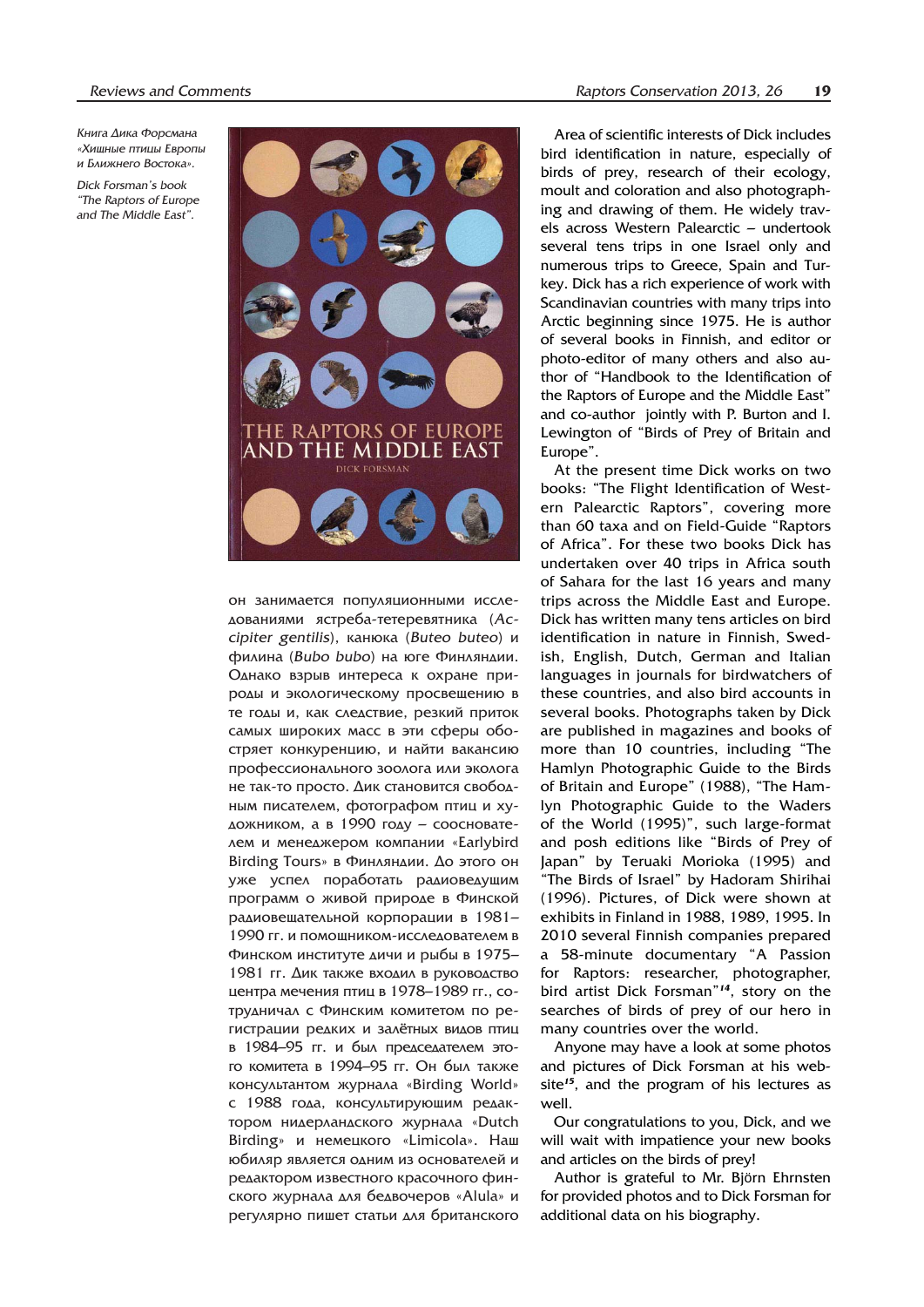Книга Дика Форсмана «Хишные птицы Европы *è Áëèæíåãî Âîñòîêà».*

*Dick Forsman's book "The Raptors of Europe and The Middle East".*



он занимается популяционными исслеаованиями ястреба-тетеревятника (Ас*cipiter gentilis*), канюка (Buteo buteo) и филина (Bubo bubo) на юге Финляндии. Однако взрыв интереса к охране природы и экологическому просвещению в те годы и, как следствие, резкий приток самых широких масс в эти сферы обостряет конкуренцию, и найти вакансию профессионального зоолога или эколога не так-то просто. Дик становится свободным писателем, фотографом птиц и художником, а в 1990 году – сооснователем и менеджером компании «Earlybird Birding Tours» в Финляндии. До этого он уже успел поработать радиоведущим программ о живой природе в Финской радиовещательной корпорации в 1981– 1990 гг. и помощником-исследователем в Финском институте дичи и рыбы в 1975– 1981 гг. Дик также входил в руководство центра мечения птиц в 1978–1989 гг., сотрудничал с Финским комитетом по регистрации редких и залётных видов птиц в 1984–95 гг. и был председателем этого комитета в 1994–95 гг. Он был также консультантом журнала «Birding World» с 1988 года, консультирующим редактором нидерландского журнала «Dutch Birding» и немецкого «Limicola». Наш юбиляр является одним из основателей и редактором известного красочного финского журнала для бедвочеров «Alula» и регулярно пишет статьи для британского

Area of scientific interests of Dick includes bird identification in nature, especially of birds of prey, research of their ecology, moult and coloration and also photographing and drawing of them. He widely travels across Western Palearctic – undertook several tens trips in one Israel only and numerous trips to Greece, Spain and Turkey. Dick has a rich experience of work with Scandinavian countries with many trips into Arctic beginning since 1975. He is author of several books in Finnish, and editor or photo-editor of many others and also author of "Handbook to the Identification of the Raptors of Europe and the Middle East" and co-author jointly with P. Burton and I. Lewington of "Birds of Prey of Britain and Europe".

At the present time Dick works on two books: "The Flight Identification of Western Palearctic Raptors", covering more than 60 taxa and on Field-Guide "Raptors of Africa". For these two books Dick has undertaken over 40 trips in Africa south of Sahara for the last 16 years and many trips across the Middle East and Europe. Dick has written many tens articles on bird identification in nature in Finnish, Swedish, English, Dutch, German and Italian languages in journals for birdwatchers of these countries, and also bird accounts in several books. Photographs taken by Dick are published in magazines and books of more than 10 countries, including "The Hamlyn Photographic Guide to the Birds of Britain and Europe" (1988), "The Hamlyn Photographic Guide to the Waders of the World (1995)", such large-format and posh editions like "Birds of Prey of Japan" by Teruaki Morioka (1995) and "The Birds of Israel" by Hadoram Shirihai (1996). Pictures, of Dick were shown at exhibits in Finland in 1988, 1989, 1995. In 2010 several Finnish companies prepared a 58-minute documentary "A Passion for Raptors: researcher, photographer, bird artist Dick Forsman"*<sup>14</sup>*, story on the searches of birds of prey of our hero in many countries over the world.

Anyone may have a look at some photos and pictures of Dick Forsman at his website*<sup>15</sup>*, and the program of his lectures as well.

Our congratulations to you, Dick, and we will wait with impatience your new books and articles on the birds of prey!

Author is grateful to Mr. Björn Ehrnsten for provided photos and to Dick Forsman for additional data on his biography.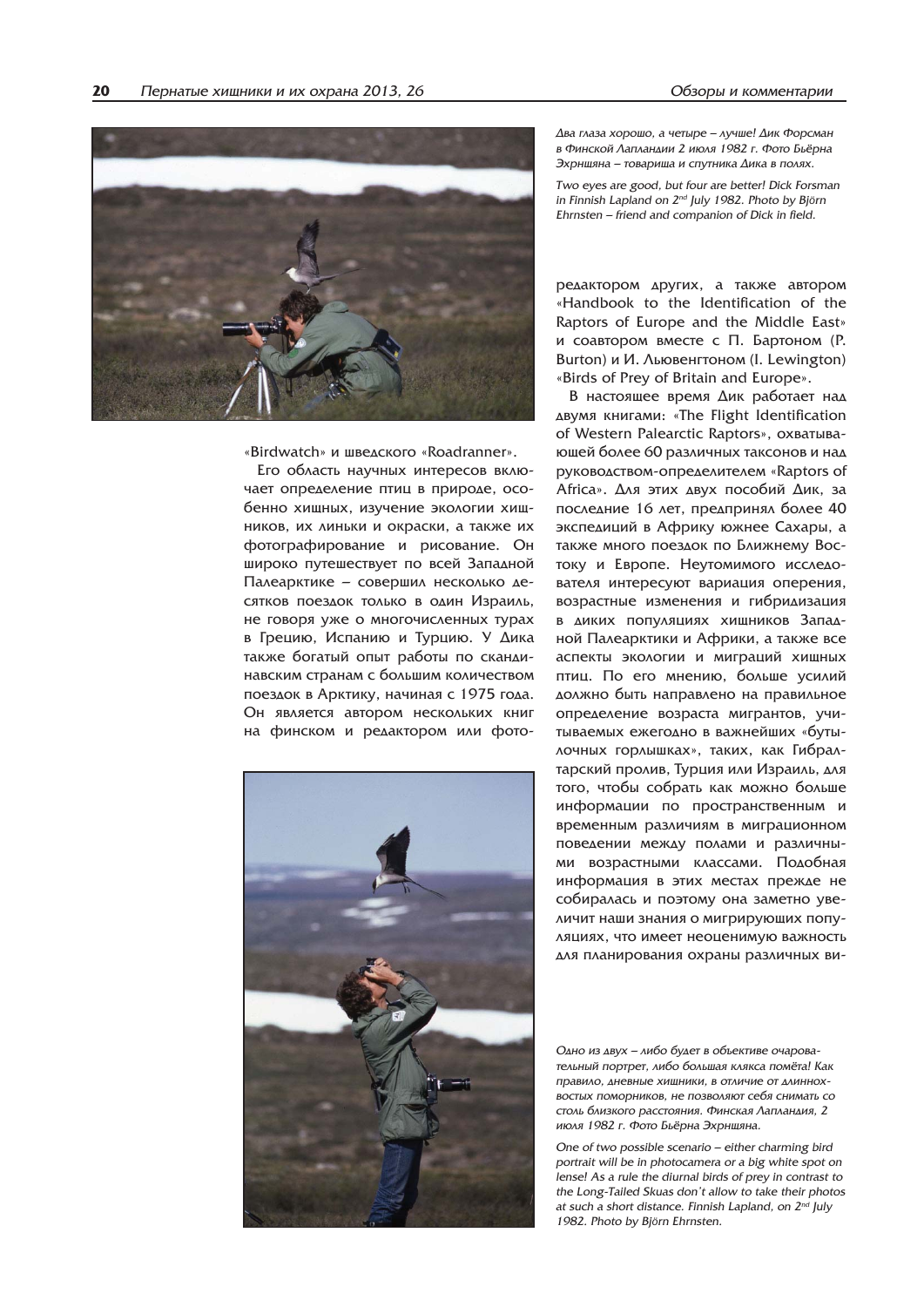

«Birdwatch» и шведского «Roadranner».

Его область научных интересов включает определение птиц в природе, особенно хищных, изучение экологии хищников, их линьки и окраски, а также их фотографирование и рисование. Он широко путешествует по всей Западной Палеарктике – совершил несколько десятков поездок только в один Израиль, не говоря уже о многочисленных турах в Грецию, Испанию и Турцию. У Дика также богатый опыт работы по скандинавским странам с большим количеством поездок в Арктику, начиная с 1975 года. Он является автором нескольких книг на финском и редактором или фото-



Два глаза хорошо, а четыре – лучше! Дик Форсман в Финской Лапландии 2 июля 1982 г. Фото Бьёрна Эхрншяна – товариша и спутника Дика в полях.

*Two eyes are good, but four are better! Dick Forsman in Finnish Lapland on 2nd July 1982. Photo by Björn Ehrnsten – friend and companion of Dick in field.*

редактором других, а также автором «Handbook to the Identification of the Raptors of Europe and the Middle East» и соавтором вместе с П. Бартоном (Р. Burton) и И. Льювенгтоном (I. Lewington) «Birds of Prey of Britain and Europe».

В настоящее время Дик работает над двумя книгами: «The Flight Identification of Western Palearctic Raptors», охватывающей более 60 различных таксонов и над руководством-определителем «Raptors of Africa». Для этих двух пособий Дик, за последние 16 лет, предпринял более 40 экспедиций в Африку южнее Сахары, а также много поездок по Ближнему Востоку и Европе. Неутомимого исследователя интересуют вариация оперения, возрастные изменения и гибридизация в диких популяциях хищников Западной Палеарктики и Африки, а также все аспекты экологии и миграций хищных птиц. По его мнению, больше усилий должно быть направлено на правильное определение возраста мигрантов, учитываемых ежегодно в важнейших «бутылочных горлышках», таких, как Гибралтарский пролив, Турция или Израиль, для того, чтобы собрать как можно больше информации по пространственным и временным различиям в миграционном поведении между полами и различными возрастными классами. Подобная информация в этих местах прежде не собиралась и поэтому она заметно увеличит наши знания о мигрирующих популяциях, что имеет неоценимую важность аля планирования охраны различных ви-

Одно из двух – либо будет в объективе очаровательный портрет, либо большая клякса помёта! Как правило, дневные хищники, в отличие от длиннохвостых поморников, не позволяют себя снимать со столь близкого расстояния. Финская Лапландия, 2 июля 1982 г. Фото Бьёрна Эхрнщяна.

*One of two possible scenario – either charming bird portrait will be in photocamera or a big white spot on lense! As a rule the diurnal birds of prey in contrast to the Long-Tailed Skuas don't allow to take their photos at such a short distance. Finnish Lapland, on 2nd July 1982. Photo by Björn Ehrnsten.*